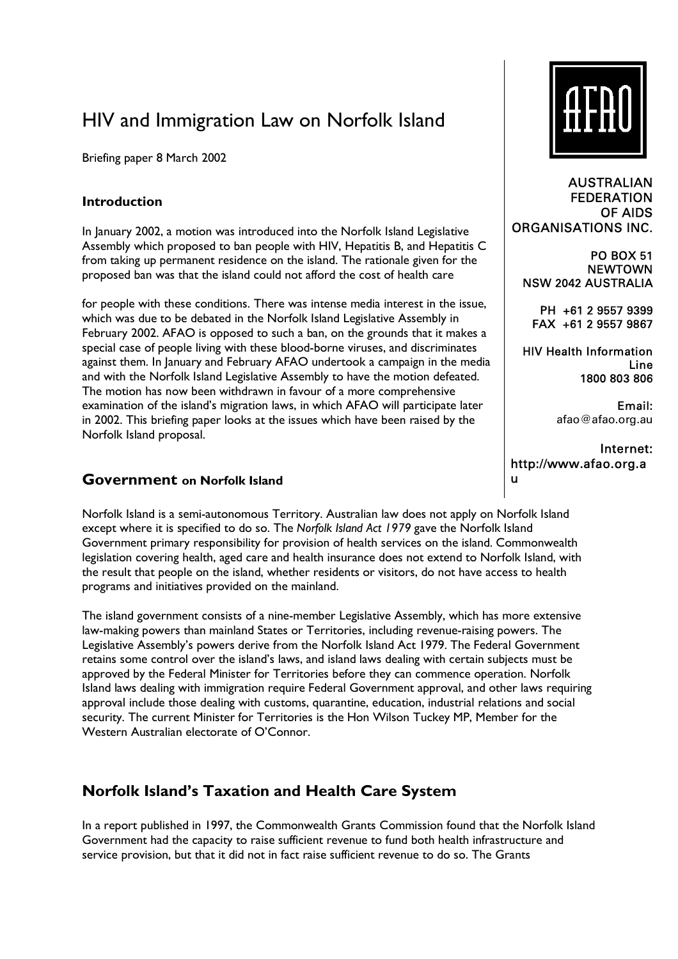# HIV and Immigration Law on Norfolk Island

Briefing paper 8 March 2002

## **Introduction**

In January 2002, a motion was introduced into the Norfolk Island Legislative Assembly which proposed to ban people with HIV, Hepatitis B, and Hepatitis C from taking up permanent residence on the island. The rationale given for the proposed ban was that the island could not afford the cost of health care

for people with these conditions. There was intense media interest in the issue, which was due to be debated in the Norfolk Island Legislative Assembly in February 2002. AFAO is opposed to such a ban, on the grounds that it makes a special case of people living with these blood-borne viruses, and discriminates against them. In January and February AFAO undertook a campaign in the media and with the Norfolk Island Legislative Assembly to have the motion defeated. The motion has now been withdrawn in favour of a more comprehensive examination of the island's migration laws, in which AFAO will participate later in 2002. This briefing paper looks at the issues which have been raised by the Norfolk Island proposal.

## **Government on Norfolk Island**

Norfolk Island is a semi-autonomous Territory. Australian law does not apply on Norfolk Island except where it is specified to do so. The *Norfolk Island Act 1979* gave the Norfolk Island Government primary responsibility for provision of health services on the island. Commonwealth legislation covering health, aged care and health insurance does not extend to Norfolk Island, with the result that people on the island, whether residents or visitors, do not have access to health programs and initiatives provided on the mainland.

The island government consists of a nine-member Legislative Assembly, which has more extensive law-making powers than mainland States or Territories, including revenue-raising powers. The Legislative Assemblyís powers derive from the Norfolk Island Act 1979. The Federal Government retains some control over the island's laws, and island laws dealing with certain subjects must be approved by the Federal Minister for Territories before they can commence operation. Norfolk Island laws dealing with immigration require Federal Government approval, and other laws requiring approval include those dealing with customs, quarantine, education, industrial relations and social security. The current Minister for Territories is the Hon Wilson Tuckey MP, Member for the Western Australian electorate of O'Connor.

# **Norfolk Island's Taxation and Health Care System**

In a report published in 1997, the Commonwealth Grants Commission found that the Norfolk Island Government had the capacity to raise sufficient revenue to fund both health infrastructure and service provision, but that it did not in fact raise sufficient revenue to do so. The Grants



AUSTRALIAN FEDERATION OF AIDS ORGANISATIONS INC.

PO BOX 51 **NEWTOWN** NSW 2042 AUSTRALIA

PH +61 2 9557 9399 FAX +61 2 9557 9867

HIV Health Information Line 1800 803 806

> Email: afao@afao.org.au

Internet: http://www.afao.org.a u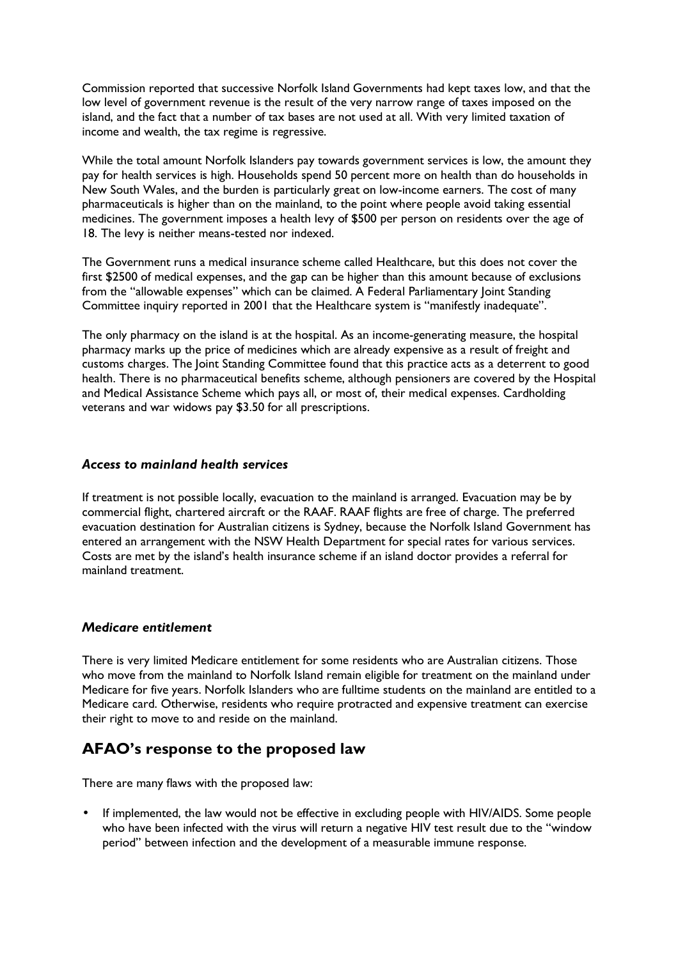Commission reported that successive Norfolk Island Governments had kept taxes low, and that the low level of government revenue is the result of the very narrow range of taxes imposed on the island, and the fact that a number of tax bases are not used at all. With very limited taxation of income and wealth, the tax regime is regressive.

While the total amount Norfolk Islanders pay towards government services is low, the amount they pay for health services is high. Households spend 50 percent more on health than do households in New South Wales, and the burden is particularly great on low-income earners. The cost of many pharmaceuticals is higher than on the mainland, to the point where people avoid taking essential medicines. The government imposes a health levy of \$500 per person on residents over the age of 18. The levy is neither means-tested nor indexed.

The Government runs a medical insurance scheme called Healthcare, but this does not cover the first \$2500 of medical expenses, and the gap can be higher than this amount because of exclusions from the "allowable expenses" which can be claimed. A Federal Parliamentary Joint Standing Committee inquiry reported in 2001 that the Healthcare system is "manifestly inadequate".

The only pharmacy on the island is at the hospital. As an income-generating measure, the hospital pharmacy marks up the price of medicines which are already expensive as a result of freight and customs charges. The Joint Standing Committee found that this practice acts as a deterrent to good health. There is no pharmaceutical benefits scheme, although pensioners are covered by the Hospital and Medical Assistance Scheme which pays all, or most of, their medical expenses. Cardholding veterans and war widows pay \$3.50 for all prescriptions.

#### *Access to mainland health services*

If treatment is not possible locally, evacuation to the mainland is arranged. Evacuation may be by commercial flight, chartered aircraft or the RAAF. RAAF flights are free of charge. The preferred evacuation destination for Australian citizens is Sydney, because the Norfolk Island Government has entered an arrangement with the NSW Health Department for special rates for various services. Costs are met by the island's health insurance scheme if an island doctor provides a referral for mainland treatment.

#### *Medicare entitlement*

There is very limited Medicare entitlement for some residents who are Australian citizens. Those who move from the mainland to Norfolk Island remain eligible for treatment on the mainland under Medicare for five years. Norfolk Islanders who are fulltime students on the mainland are entitled to a Medicare card. Otherwise, residents who require protracted and expensive treatment can exercise their right to move to and reside on the mainland.

# **AFAOís response to the proposed law**

There are many flaws with the proposed law:

If implemented, the law would not be effective in excluding people with HIV/AIDS. Some people who have been infected with the virus will return a negative HIV test result due to the "window period" between infection and the development of a measurable immune response.